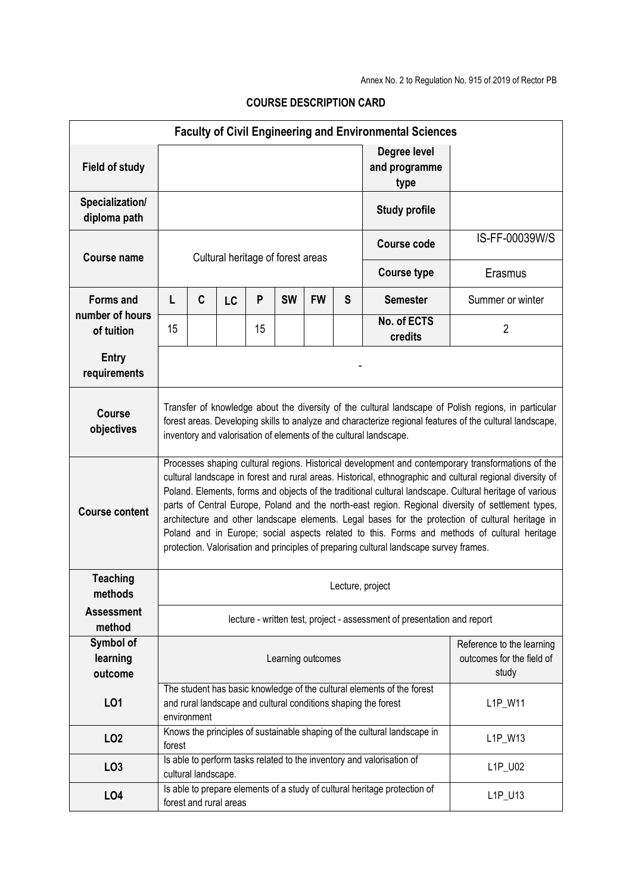| <b>Faculty of Civil Engineering and Environmental Sciences</b> |                                                                                                                                                                                                                                                                                                                                                                                                                                                                                                                                                                                                                                                                                                                                 |                                                                                                                                                                    |                        |    |           |           |   |                                                                           |                                                        |  |  |  |
|----------------------------------------------------------------|---------------------------------------------------------------------------------------------------------------------------------------------------------------------------------------------------------------------------------------------------------------------------------------------------------------------------------------------------------------------------------------------------------------------------------------------------------------------------------------------------------------------------------------------------------------------------------------------------------------------------------------------------------------------------------------------------------------------------------|--------------------------------------------------------------------------------------------------------------------------------------------------------------------|------------------------|----|-----------|-----------|---|---------------------------------------------------------------------------|--------------------------------------------------------|--|--|--|
| <b>Field of study</b>                                          |                                                                                                                                                                                                                                                                                                                                                                                                                                                                                                                                                                                                                                                                                                                                 |                                                                                                                                                                    |                        |    |           |           |   | Degree level<br>and programme<br>type                                     |                                                        |  |  |  |
| Specialization/<br>diploma path                                |                                                                                                                                                                                                                                                                                                                                                                                                                                                                                                                                                                                                                                                                                                                                 |                                                                                                                                                                    |                        |    |           |           |   | <b>Study profile</b>                                                      |                                                        |  |  |  |
| <b>Course name</b>                                             | Cultural heritage of forest areas                                                                                                                                                                                                                                                                                                                                                                                                                                                                                                                                                                                                                                                                                               |                                                                                                                                                                    |                        |    |           |           |   | Course code                                                               | IS-FF-00039W/S                                         |  |  |  |
|                                                                |                                                                                                                                                                                                                                                                                                                                                                                                                                                                                                                                                                                                                                                                                                                                 |                                                                                                                                                                    |                        |    |           |           |   | <b>Course type</b>                                                        | Erasmus                                                |  |  |  |
| <b>Forms and</b><br>number of hours                            | L                                                                                                                                                                                                                                                                                                                                                                                                                                                                                                                                                                                                                                                                                                                               | C                                                                                                                                                                  | LC                     | P  | <b>SW</b> | <b>FW</b> | S | <b>Semester</b>                                                           | Summer or winter                                       |  |  |  |
| of tuition                                                     | 15                                                                                                                                                                                                                                                                                                                                                                                                                                                                                                                                                                                                                                                                                                                              |                                                                                                                                                                    |                        | 15 |           |           |   | No. of ECTS<br>credits                                                    | $\overline{2}$                                         |  |  |  |
| <b>Entry</b><br>requirements                                   |                                                                                                                                                                                                                                                                                                                                                                                                                                                                                                                                                                                                                                                                                                                                 |                                                                                                                                                                    |                        |    |           |           |   |                                                                           |                                                        |  |  |  |
| <b>Course</b><br>objectives                                    | Transfer of knowledge about the diversity of the cultural landscape of Polish regions, in particular<br>forest areas. Developing skills to analyze and characterize regional features of the cultural landscape,<br>inventory and valorisation of elements of the cultural landscape.                                                                                                                                                                                                                                                                                                                                                                                                                                           |                                                                                                                                                                    |                        |    |           |           |   |                                                                           |                                                        |  |  |  |
| <b>Course content</b>                                          | Processes shaping cultural regions. Historical development and contemporary transformations of the<br>cultural landscape in forest and rural areas. Historical, ethnographic and cultural regional diversity of<br>Poland. Elements, forms and objects of the traditional cultural landscape. Cultural heritage of various<br>parts of Central Europe, Poland and the north-east region. Regional diversity of settlement types,<br>architecture and other landscape elements. Legal bases for the protection of cultural heritage in<br>Poland and in Europe; social aspects related to this. Forms and methods of cultural heritage<br>protection. Valorisation and principles of preparing cultural landscape survey frames. |                                                                                                                                                                    |                        |    |           |           |   |                                                                           |                                                        |  |  |  |
| <b>Teaching</b><br>methods                                     | Lecture, project                                                                                                                                                                                                                                                                                                                                                                                                                                                                                                                                                                                                                                                                                                                |                                                                                                                                                                    |                        |    |           |           |   |                                                                           |                                                        |  |  |  |
| <b>Assessment</b><br>method                                    | lecture - written test, project - assessment of presentation and report                                                                                                                                                                                                                                                                                                                                                                                                                                                                                                                                                                                                                                                         |                                                                                                                                                                    |                        |    |           |           |   |                                                                           |                                                        |  |  |  |
| Symbol of<br>learning<br>outcome                               | Learning outcomes<br>study                                                                                                                                                                                                                                                                                                                                                                                                                                                                                                                                                                                                                                                                                                      |                                                                                                                                                                    |                        |    |           |           |   |                                                                           | Reference to the learning<br>outcomes for the field of |  |  |  |
| L <sub>01</sub>                                                |                                                                                                                                                                                                                                                                                                                                                                                                                                                                                                                                                                                                                                                                                                                                 | The student has basic knowledge of the cultural elements of the forest<br>and rural landscape and cultural conditions shaping the forest<br>L1P_W11<br>environment |                        |    |           |           |   |                                                                           |                                                        |  |  |  |
| LO <sub>2</sub>                                                | forest                                                                                                                                                                                                                                                                                                                                                                                                                                                                                                                                                                                                                                                                                                                          |                                                                                                                                                                    |                        |    |           |           |   | Knows the principles of sustainable shaping of the cultural landscape in  | L1P_W13                                                |  |  |  |
| LO <sub>3</sub>                                                |                                                                                                                                                                                                                                                                                                                                                                                                                                                                                                                                                                                                                                                                                                                                 | cultural landscape.                                                                                                                                                |                        |    |           |           |   | Is able to perform tasks related to the inventory and valorisation of     | L1P_U02                                                |  |  |  |
| LO <sub>4</sub>                                                |                                                                                                                                                                                                                                                                                                                                                                                                                                                                                                                                                                                                                                                                                                                                 |                                                                                                                                                                    | forest and rural areas |    |           |           |   | Is able to prepare elements of a study of cultural heritage protection of | L1P_U13                                                |  |  |  |

## **COURSE DESCRIPTION CARD**